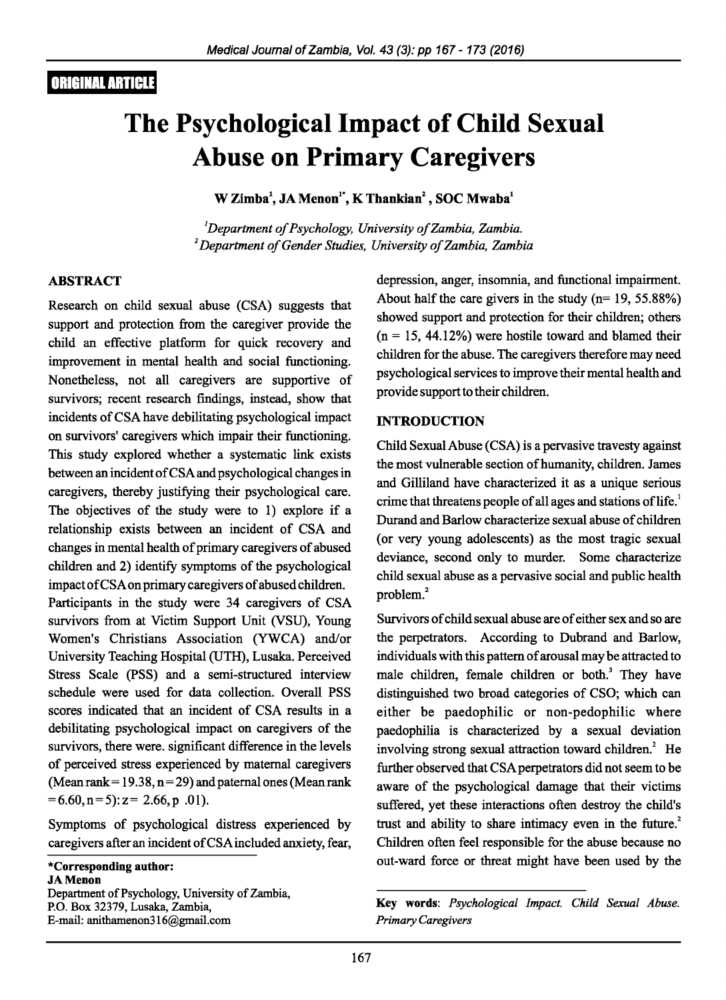# **ORIGINAL ARTICLE**

# **The Psychological Impact of Child Sexual Abuse on Primary Caregivers**

**W Zimba\ JA Menon<sup>1</sup> ·, K Thankian2 , SOC Mwaba1** 

<sup>1</sup>Department of Psychology, University of Zambia, Zambia. <sup>2</sup> Department of Gender Studies, University of Zambia, Zambia

#### **ABSTRACT**

Research on child sexual abuse (CSA) suggests that support and protection from the caregiver provide the child an effective platform for quick recovery and improvement in mental health and social functioning. Nonetheless, not all caregivers are supportive of survivors; recent research findings, instead, show that incidents of CSA have debilitating psychological impact on survivors' caregivers which impair their functioning. This study explored whether a systematic link exists between an incident of CSA and psychological changes in caregivers, thereby justifying their psychological care. The objectives of the study were to **1)** explore if a relationship exists between an incident of CSA and changes in mental health of primary caregivers of abused children and 2) identify symptoms of the psychological impact ofCSA on primary caregivers of abused children.

Participants in the study were 34 caregivers of CSA survivors from at Victim Support Unit (VSU), Young Women's Christians Association (YWCA) and/or University Teaching Hospital (UTH), Lusaka. Perceived Stress Scale (PSS) and a semi-structured interview schedule were used for data collection. Overall PSS scores indicated that an incident of CSA results in a debilitating psychological impact on caregivers of the survivors, there were. significant difference in the levels of perceived stress experienced by maternal caregivers (Mean rank = 19.38,  $n = 29$ ) and paternal ones (Mean rank  $=6.60, n=5$ :  $z= 2.66, p.01$ ).

Symptoms of psychological distress experienced by caregivers after an incident of CSA included anxiety, fear,

**\*Corresponding author: JAMenon**  Department of Psychology, University of Zambia, P.O. Box 32379, Lusaka, Zambia, E-mail: anithamenon316@gmail.com

depression, anger, insomnia, and functional impairment. About half the care givers in the study  $(n= 19, 55.88\%)$ showed support and protection for their children; others  $(n = 15, 44.12\%)$  were hostile toward and blamed their children for the abuse. The caregivers therefore may need psychological services to improve their mental health and provide support to their children.

#### **INTRODUCTION**

Child Sexual Abuse (CSA) is a pervasive travesty against the most vulnerable section of humanity, children. James and Gilliland have characterized it as a unique serious crime that threatens people of all ages and stations of life.<sup>1</sup> Durand and Barlow characterize sexual abuse of children (or very young adolescents) as the most tragic sexual deviance, second only to murder. Some characterize child sexual abuse as a pervasive social and public health problem.<sup>2</sup>

Survivors of child sexual abuse are of either sex and so are the perpetrators. According to Dubrand and Barlow, individuals with this pattern of arousal may be attracted to male children, female children or both.<sup>3</sup> They have distinguished two broad categories of CSO; which can either be paedophilic or non-pedophilic where paedophilia is characterized by a sexual deviation involving strong sexual attraction toward children.<sup>2</sup> He further observed that CSA perpetrators did not seem to be aware of the psychological damage that their victims suffered, yet these interactions often destroy the child's trust and ability to share intimacy even in the future.<sup>2</sup> Children often feel responsible for the abuse because no out-ward force or threat might have been used by the

Key **words:** *Psychological Impact. Child Sexual Abuse. Primary Caregivers*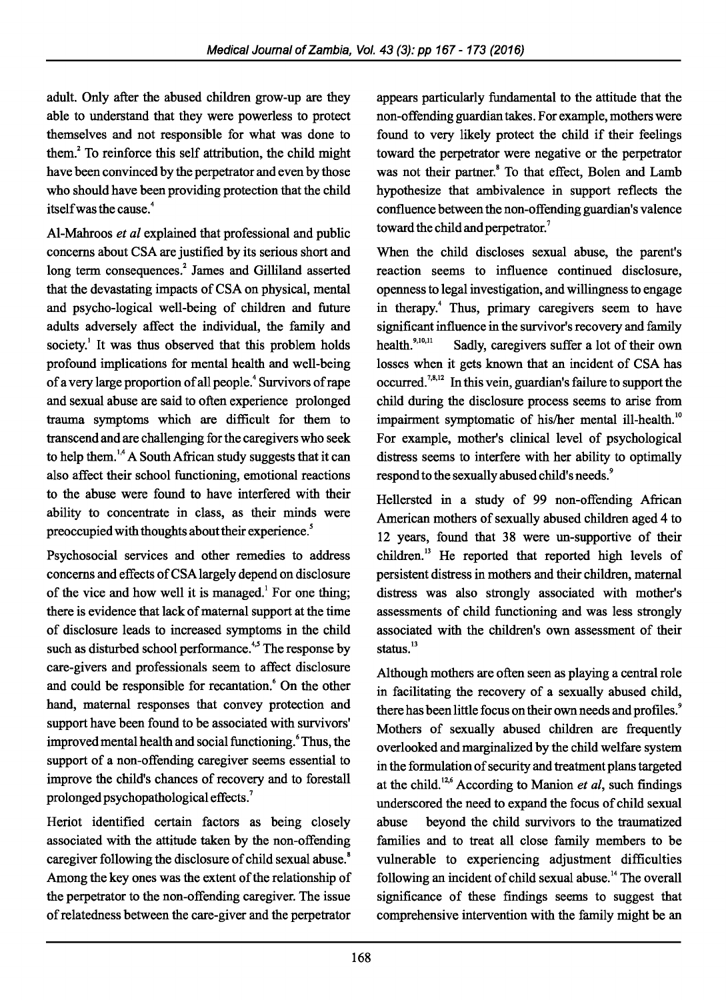adult. Only after the abused children grow-up are they able to understand that they were powerless to protect themselves and not responsible for what was done to them.2 To reinforce this self attribution, the child might have been convinced by the perpetrator and even by those who should have been providing protection that the child itself was the cause.<sup>4</sup>

Al-Mahroos *et al* explained that professional and public concerns about CSA are justified by its serious short and long term consequences.<sup>2</sup> James and Gilliland asserted that the devastating impacts of CSA on physical, mental and psycho-logical well-being of children and future adults adversely affect the individual, the family and society.<sup>1</sup> It was thus observed that this problem holds profound implications for mental health and well-being of a very large proportion of all people. 4 Survivors of rape and sexual abuse are said to often experience prolonged trauma symptoms which are difficult for them to transcend and are challenging for the caregivers who seek to help them.<sup>1,4</sup> A South African study suggests that it can also affect their school functioning, emotional reactions to the abuse were found to have interfered with their ability to concentrate in class, as their minds were preoccupied with thoughts about their experience. *<sup>5</sup>*

Psychosocial services and other remedies to address concerns and effects ofCSA largely depend on disclosure of the vice and how well it is managed.<sup>1</sup> For one thing; there is evidence that lack of maternal support at the time of disclosure leads to increased symptoms in the child such as disturbed school performance.<sup>4,5</sup> The response by care-givers and professionals seem to affect disclosure and could be responsible for recantation.<sup>6</sup> On the other hand, maternal responses that convey protection and support have been found to be associated with survivors' improved mental health and social functioning.<sup>6</sup> Thus, the support of a non-offending caregiver seems essential to improve the child's chances of recovery and to forestall prolonged psychopathological effects. 7

Heriot identified certain factors as being closely associated with the attitude taken by the non-offending caregiver following the disclosure of child sexual abuse.<sup>8</sup> Among the key ones was the extent of the relationship of the perpetrator to the non-offending caregiver. The issue of relatedness between the care-giver and the perpetrator

appears particularly fundamental to the attitude that the non-offending guardian takes. For example, mothers were found to very likely protect the child if their feelings toward the perpetrator were negative or the perpetrator was not their partner.<sup>8</sup> To that effect, Bolen and Lamb hypothesize that ambivalence in support reflects the confluence between the non-offending guardian's valence toward the child and perpetrator.<sup>7</sup>

When the child discloses sexual abuse, the parent's reaction seems to influence continued disclosure, openness to legal investigation, and willingness to engage in therapy.<sup>4</sup> Thus, primary caregivers seem to have significant influence in the survivor's recovery and family health.<sup>9,10,</sup> Sadly, caregivers suffer a lot of their own losses when it gets known that an incident of CSA has occurred.<sup>7,8,12</sup> In this vein, guardian's failure to support the child during the disclosure process seems to arise from impairment symptomatic of his/her mental ill-health.<sup>10</sup> For example, mother's clinical level of psychological distress seems to interfere with her ability to optimally respond to the sexually abused child's needs.<sup>9</sup>

Hellersted in a study of 99 non-offending African American mothers of sexually abused children aged 4 to 12 years, found that 38 were un-supportive of their children.<sup>13</sup> He reported that reported high levels of persistent distress in mothers and their children, maternal distress was also strongly associated with mother's assessments of child functioning and was less strongly associated with the children's own assessment of their status.<sup>13</sup>

Although mothers are often seen as playing a central role in facilitating the recovery of a sexually abused child, there has been little focus on their own needs and profiles.<sup>9</sup> Mothers of sexually abused children are frequently overlooked and marginalized by the child welfare system in the formulation of security and treatment plans targeted at the child.<sup>12,6</sup> According to Manion *et al*, such findings underscored the need to expand the focus of child sexual abuse beyond the child survivors to the traumatized families and to treat all close family members to be vulnerable to experiencing adjustment difficulties following an incident of child sexual abuse. 14 The overall significance of these findings seems to suggest that comprehensive intervention with the family might be an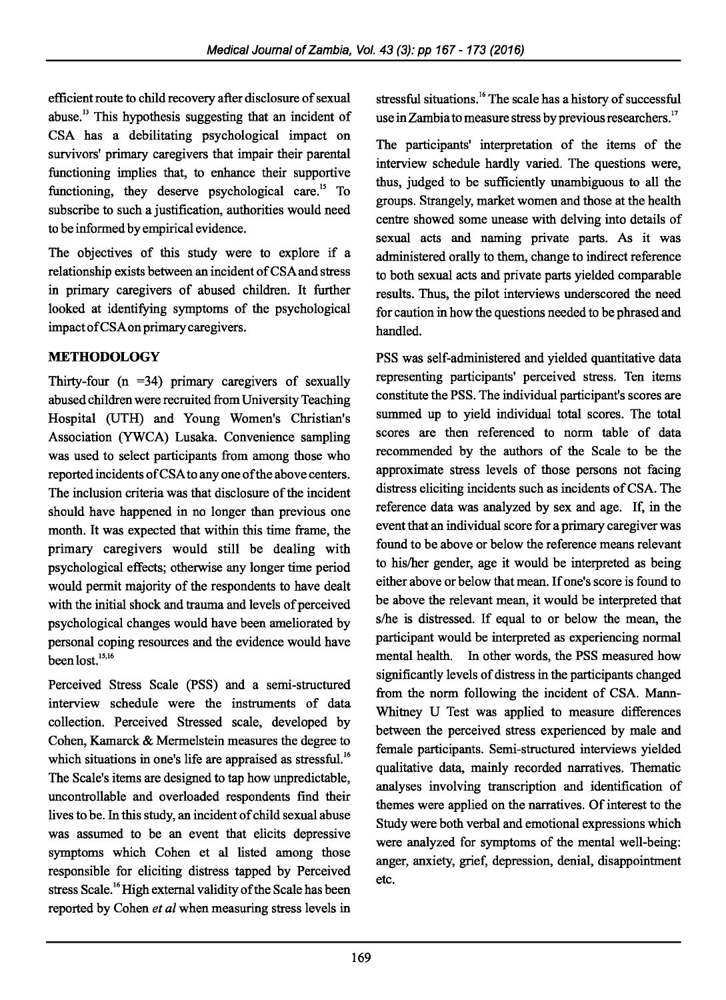efficient route to child recovery after disclosure of sexual abuse.<sup>13</sup> This hypothesis suggesting that an incident of CSA has a debilitating psychological impact on survivors' primary caregivers that impair their parental functioning implies that, to enhance their supportive functioning, they deserve psychological care.<sup>15</sup> To subscribe to such a justification, authorities would need to be informed by empirical evidence.

The objectives of this study were to explore if a relationship exists between an incident of CSA and stress in primary caregivers of abused children. It further looked at identifying symptoms of the psychological impact ofCSA on primary caregivers.

## **METHODOLOGY**

Thirty-four  $(n = 34)$  primary caregivers of sexually abused children were recruited from University Teaching Hospital (UTH) and Young Women's Christian's Association (YWCA) Lusaka. Convenience sampling was used to select participants from among those who reported incidents ofCSA to any one of the above centers. The inclusion criteria was that disclosure of the incident should have happened in no longer than previous one month. It was expected that within this time frame, the primary caregivers would still be dealing with psychological effects; otherwise any longer time period would permit majority of the respondents to have dealt with the initial shock and trauma and levels of perceived psychological changes would have been ameliorated by personal coping resources and the evidence would have been lost.<sup>15,16</sup>

Perceived Stress Scale (PSS) and a semi-structured interview schedule were the instruments of data collection. Perceived Stressed scale, developed by Cohen, Kamarck & Mermelstein measures the degree to which situations in one's life are appraised as stressful.<sup>16</sup> The Scale's items are designed to tap how unpredictable, uncontrollable and overloaded respondents find their lives to be. In this study, an incident of child sexual abuse was assumed to be an event that elicits depressive symptoms which Cohen et al listed among those responsible for eliciting distress tapped by Perceived stress Scale.<sup>16</sup> High external validity of the Scale has been reported by Cohen *et al* when measuring stress levels in stressful situations.<sup>16</sup> The scale has a history of successful use in Zambia to measure stress by previous researchers.<sup>17</sup>

The participants' interpretation of the items of the interview schedule hardly varied. The questions were, thus, judged to be sufficiently unambiguous to all the groups. Strangely, market women and those at the health centre showed some unease with delving into details of sexual acts and naming private parts. As it was administered orally to them, change to indirect reference to both sexual acts and private parts yielded comparable results. Thus, the pilot interviews underscored the need for caution in how the questions needed to be phrased and handled.

PSS was self-administered and yielded quantitative data representing participants' perceived stress. Ten items constitute the PSS. The individual participant's scores are summed up to yield individual total scores. The total scores are then referenced to norm table of data recommended by the authors of the Scale to be the approximate stress levels of those persons not facing distress eliciting incidents such as incidents of CSA. The reference data was analyzed by sex and age. If, in the event that an individual score for a primary caregiver was found to be above or below the reference means relevant to his/her gender, age it would be interpreted as being either above or below that mean. If one's score is found to be above the relevant mean, it would be interpreted that s/he is distressed. If equal to or below the mean, the participant would be interpreted as experiencing normal mental health. In other words, the PSS measured how significantly levels of distress in the participants changed from the norm following the incident of CSA. Mann-Whitney U Test was applied to measure differences between the perceived stress experienced by male and female participants. Semi-structured interviews yielded qualitative data, mainly recorded narratives. Thematic analyses involving transcription and identification of themes were applied on the narratives. Of interest to the Study were both verbal and emotional expressions which were analyzed for symptoms of the mental well-being: anger, anxiety, grief, depression, denial, disappointment etc.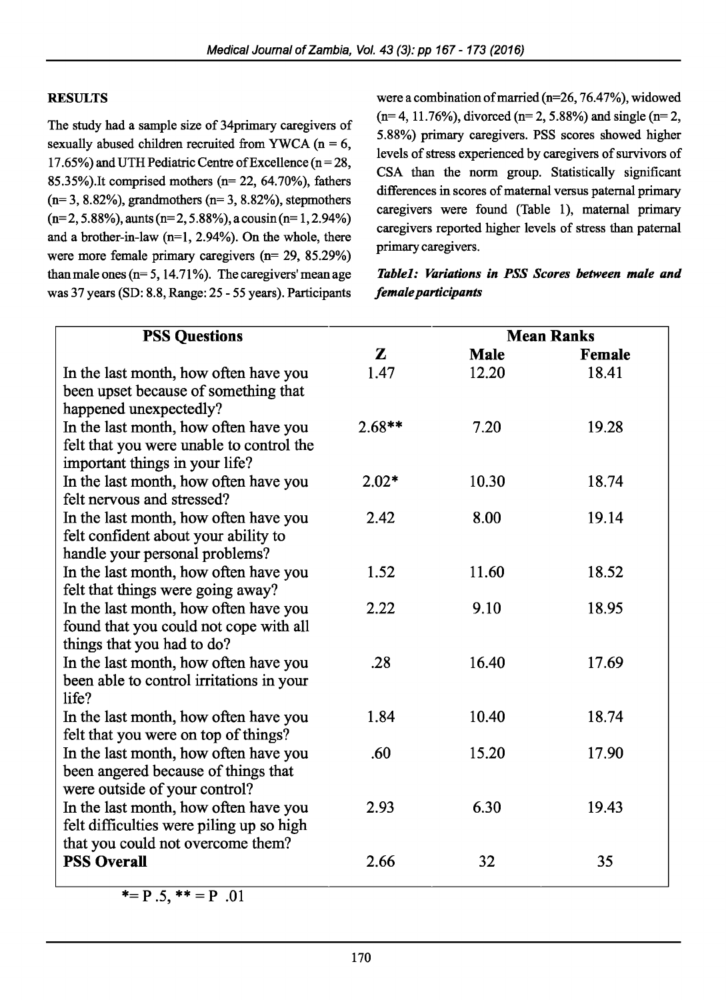#### **RESULTS**

The study had a sample size of 34primary caregivers of sexually abused children recruited from YWCA ( $n = 6$ , 17.65%) and UTH Pediatric Centre of Excellence ( $n = 28$ , 85.35%).It comprised mothers (n= 22, 64.70%), fathers  $(n= 3, 8.82\%)$ , grandmothers  $(n= 3, 8.82\%)$ , stepmothers  $(n=2, 5.88\%)$ , aunts (n= 2, 5.88%), a cousin (n= 1, 2.94%) and a brother-in-law  $(n=1, 2.94\%)$ . On the whole, there were more female primary caregivers (n= 29, 85.29%) than male ones ( $n= 5$ , 14.71%). The caregivers' mean age was 37 years (SD: 8.8, Range: 25- 55 years). Participants

were a combination of married (n=26, 76.47%), widowed  $(n= 4, 11.76\%)$ , divorced  $(n= 2, 5.88\%)$  and single  $(n= 2, 11.76\%)$ 5.88%) primary caregivers. PSS scores showed higher levels of stress experienced by caregivers of survivors of CSA than the norm group. Statistically significant differences in scores of maternal versus paternal primary caregivers were found (Table 1), maternal primary caregivers reported higher levels of stress than paternal primary caregivers.

## *Tablel: Variations in PSS Scores between male and female participants*

| <b>PSS Questions</b>                                                                                                   |          |       | <b>Mean Ranks</b> |  |
|------------------------------------------------------------------------------------------------------------------------|----------|-------|-------------------|--|
|                                                                                                                        | Z        | Male  | Female            |  |
| In the last month, how often have you<br>been upset because of something that<br>happened unexpectedly?                | 1.47     | 12.20 | 18.41             |  |
| In the last month, how often have you<br>felt that you were unable to control the<br>important things in your life?    | $2.68**$ | 7.20  | 19.28             |  |
| In the last month, how often have you<br>felt nervous and stressed?                                                    | $2.02*$  | 10.30 | 18.74             |  |
| In the last month, how often have you<br>felt confident about your ability to<br>handle your personal problems?        | 2.42     | 8.00  | 19.14             |  |
| In the last month, how often have you<br>felt that things were going away?                                             | 1.52     | 11.60 | 18.52             |  |
| In the last month, how often have you<br>found that you could not cope with all<br>things that you had to do?          | 2.22     | 9.10  | 18.95             |  |
| In the last month, how often have you<br>been able to control irritations in your<br>life?                             | .28      | 16.40 | 17.69             |  |
| In the last month, how often have you<br>felt that you were on top of things?                                          | 1.84     | 10.40 | 18.74             |  |
| In the last month, how often have you<br>been angered because of things that<br>were outside of your control?          | .60      | 15.20 | 17.90             |  |
| In the last month, how often have you<br>felt difficulties were piling up so high<br>that you could not overcome them? | 2.93     | 6.30  | 19.43             |  |
| <b>PSS Overall</b>                                                                                                     | 2.66     | 32    | 35                |  |

 $* = P .5$ ,  $* = P .01$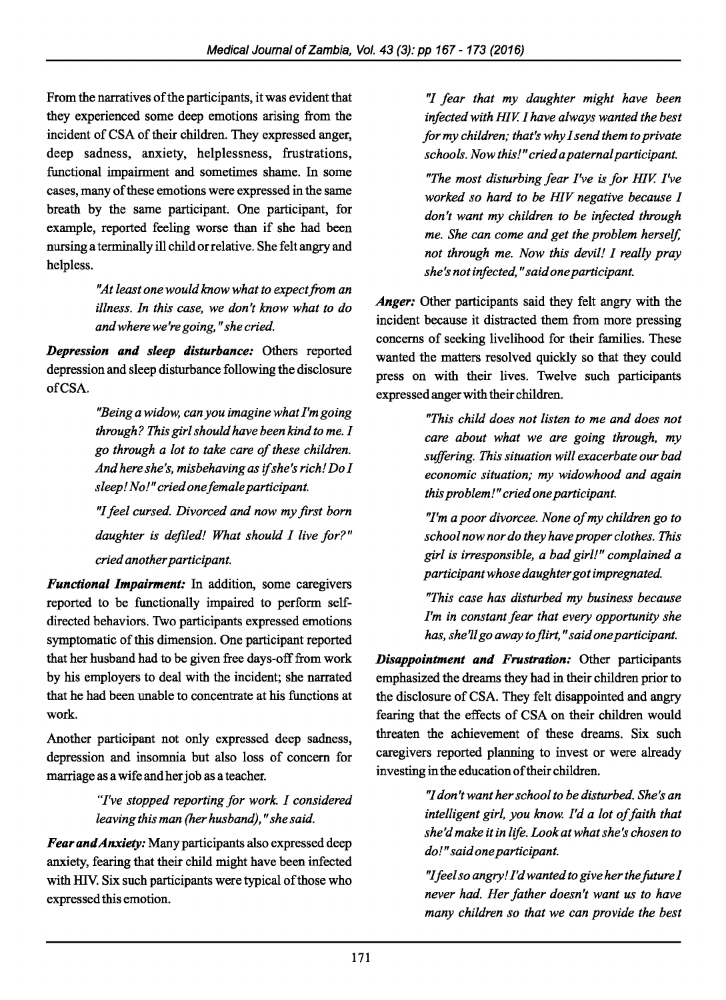From the narratives of the participants, it was evident that they experienced some deep emotions arising from the incident of CSA of their children. They expressed anger, deep sadness, anxiety, helplessness, frustrations, functional impairment and sometimes shame. In some cases, many of these emotions were expressed in the same breath by the same participant. One participant, for example, reported feeling worse than if she had been nursing a terminally ill child orrelative. She felt angry and helpless.

> *''At least one would know what to expect from an illness. In this case, we don't know what to do andwherewe'regoing, "she cried.*

*Depression and sleep disturbance:* Others reported depression and sleep disturbance following the disclosure ofCSA.

> *''Being a widow, can you imagine what I'm going through? This girl should have been kind to me. I go through a lot to take care of these children. And here she's, misbehaving as if she's rich! Dol sleep! No!" cried one female participant.*

> *''I feel cursed. Divorced and now my first born daughter is defiled! What should I live for?" cried another participant.*

*Functional Impairment:* In addition, some caregivers reported to be functionally impaired to perform selfdirected behaviors. Two participants expressed emotions symptomatic of this dimension. One participant reported that her husband had to be given free days-off from work by his employers to deal with the incident; she narrated that he had been unable to concentrate at his functions at work.

Another participant not only expressed deep sadness, depression and insomnia but also loss of concern for marriage as a wife and her job as a teacher.

## *"I've stopped reporting for work. I considered leaving this man (her husband)," she said.*

*Fear and Anxiety:* Many participants also expressed deep anxiety, fearing that their child might have been infected with HIY. Six such participants were typical of those who expressed this emotion.

*''I fear that my daughter might have been infected with HIV. I have always wanted the best for my children; that's why I send them to private schools. Now this!" cried a paternal participant.* 

*"The most disturbing fear I've is for HIV. I've worked so hard to be HIV negative because I don't want my children to be infected through me. She can come and get the problem herself, not through me. Now this devil! I really pray she's not infected," said one participant.* 

*Anger:* Other participants said they felt angry with the incident because it distracted them from more pressing concerns of seeking livelihood for their families. These wanted the matters resolved quickly so that they could press on with their lives. Twelve such participants expressed anger with their children.

> *"This child does not listen to me and does not care about what we are going through, my suffering. This situation will exacerbate our bad economic situation; my widowhood and again this problem!" cried one participant.*

> *''I'm a poor divorcee. None of my children go to school now nor do they have proper clothes. This girl is irresponsible, a bad girl!" complained a participant whose daughter got impregnated.*

> *"This case has disturbed my business because I'm in constant fear that every opportunity she has, she'll go away to flirt, "said one participant.*

*Disappointment and Frustration:* Other participants emphasized the dreams they had in their children prior to the disclosure of CSA. They felt disappointed and angry fearing that the effects of CSA on their children would threaten the achievement of these dreams. Six such caregivers reported planning to invest or were already investing in the education of their children.

> *''I don't want her school to be disturbed. She's an intelligent girl, you know. I'd a lot of faith that she'd make it in life. Look at what she's chosen to do!" said one participant.*

> *''I feel so angry! I'd wanted to give her the foture I never had. Her father doesn't want us to have many children so that we can provide the best*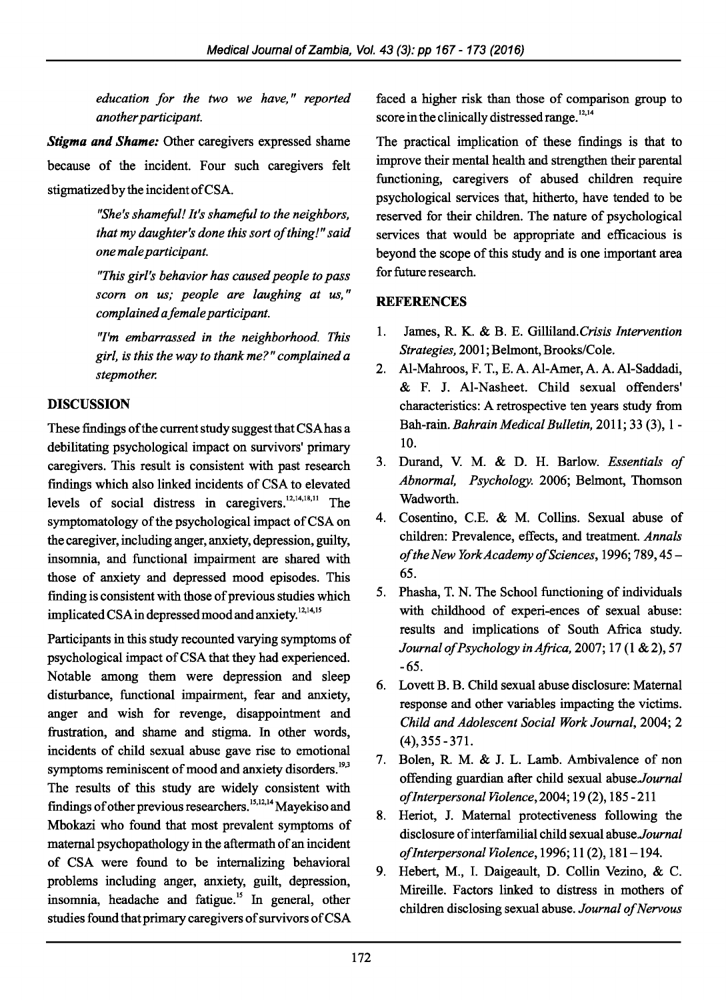*education for the two we have,* " *reported another participant.* 

*Stigma and Shame:* Other caregivers expressed shame because of the incident. Four such caregivers felt stigmatized by the incident ofCSA.

> *"She's shameful! It's shameful to the neighbors, that my daughter's done this sort of thing!" said one male participant.*

> *"This girl's behavior has caused people to pass scorn on us; people are laughing at us,* " *complained a female participant.*

> *''I'm embarrassed in the neighborhood. This girl, is this the way to thank me?" complained a stepmother.*

## DISCUSSION

These fmdings of the current study suggest that CSAhas a debilitating psychological impact on survivors' primary caregivers. This result is consistent with past research findings which also linked incidents of CSA to elevated levels of social distress in caregivers.  $12,14,18,11$  The symptomatology of the psychological impact of CSA on the caregiver, including anger, anxiety, depression, guilty, insomnia, and functional impairment are shared with those of anxiety and depressed mood episodes. This finding is consistent with those of previous studies which implicated CSA in depressed mood and anxiety.<sup>12,14,15</sup>

Participants in this study recounted varying symptoms of psychological impact of CSA that they had experienced. Notable among them were depression and sleep disturbance, functional impairment, fear and anxiety, anger and wish for revenge, disappointment and frustration, and shame and stigma. In other words, incidents of child sexual abuse gave rise to emotional symptoms reminiscent of mood and anxiety disorders.<sup>19,3</sup> The results of this study are widely consistent with findings of other previous researchers.<sup>15,12,14</sup> Mayekiso and Mbokazi who found that most prevalent symptoms of maternal psychopathology in the aftermath of an incident of CSA were found to be internalizing behavioral problems including anger, anxiety, guilt, depression, insomnia, headache and fatigue.<sup>15</sup> In general, other studies found that primary caregivers of survivors ofCSA

faced a higher risk than those of comparison group to score in the clinically distressed range.<sup>12,14</sup>

The practical implication of these findings is that to improve their mental health and strengthen their parental functioning, caregivers of abused children require psychological services that, hitherto, have tended to be reserved for their children. The nature of psychological services that would be appropriate and efficacious is beyond the scope of this study and is one important area for future research.

## **REFERENCES**

- 1. James, R. K. & B. E. Gilliland.Crisis *Intervention Strategies,* 2001; Belmont, Brooks/Cole.
- 2. Al-Mahroos, F. T., E. A. Al-Amer, A. A. Al-Saddadi, & F. J. Al-Nasheet. Child sexual offenders' characteristics: A retrospective ten years study from Bah-rain. *Bahrain Medical Bulletin,* 2011; 33 (3), 1- 10.
- 3. Durand, V. M. & D. H. Barlow. *Essentials of Abnormal, Psychology.* 2006; Belmont, Thomson Wadworth.
- 4. Cosentino, C.E. & M. Collins. Sexual abuse of children: Prevalence, effects, and treatment. *Annals of the New York Academy of Sciences,* 1996; 789, 45- 65.
- 5. Phasha, T. N. The School functioning of individuals with childhood of experi-ences of sexual abuse: results and implications of South Africa study. *Journal of Psychology in Africa,* 2007; 17 (1 & 2), 57 -65.
- 6. Lovett B. B. Child sexual abuse disclosure: Maternal response and other variables impacting the victims. *Child and Adolescent Social Work Journal,* 2004; 2 (4), 355-371.
- 7. Bolen, R. M. & J. L. Lamb. Ambivalence of non offending guardian after child sexual *abuse.Journal of Interpersonal Violence,* 2004; 19 (2), 185 - 211
- 8. Heriot, J. Maternal protectiveness following the disclosure of interfamilial child sexual *abuse.Journal of Interpersonal Violence,* 1996; 11 (2), 181-194.
- 9. Hebert, M., I. Daigeault, D. Collin Vezino, & C. Mireille. Factors linked to distress in mothers of children disclosing sexual abuse. *Journal of Nervous*